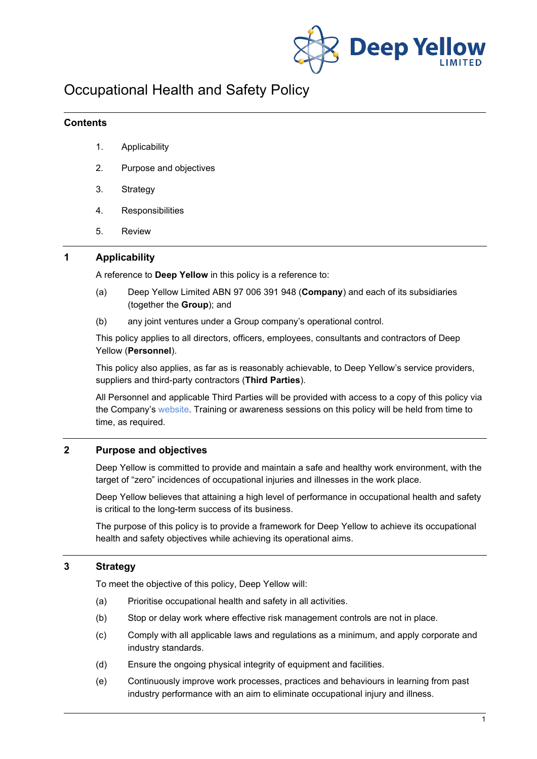

# Occupational Health and Safety Policy

### **Contents**

- 1. Applicability
- 2. Purpose and objectives
- 3. Strategy
- 4. Responsibilities
- 5. Review

## **1 Applicability**

A reference to **Deep Yellow** in this policy is a reference to:

- (a) Deep Yellow Limited ABN 97 006 391 948 (**Company**) and each of its subsidiaries (together the **Group**); and
- (b) any joint ventures under a Group company's operational control.

This policy applies to all directors, officers, employees, consultants and contractors of Deep Yellow (**Personnel**).

This policy also applies, as far as is reasonably achievable, to Deep Yellow's service providers, suppliers and third-party contractors (**Third Parties**).

All Personnel and applicable Third Parties will be provided with access to a copy of this policy via the Company's [website.](http://www.deepyellow.com.au/index.html) Training or awareness sessions on this policy will be held from time to time, as required.

# **2 Purpose and objectives**

Deep Yellow is committed to provide and maintain a safe and healthy work environment, with the target of "zero" incidences of occupational injuries and illnesses in the work place.

Deep Yellow believes that attaining a high level of performance in occupational health and safety is critical to the long-term success of its business.

The purpose of this policy is to provide a framework for Deep Yellow to achieve its occupational health and safety objectives while achieving its operational aims.

# **3 Strategy**

To meet the objective of this policy, Deep Yellow will:

- (a) Prioritise occupational health and safety in all activities.
- (b) Stop or delay work where effective risk management controls are not in place.
- (c) Comply with all applicable laws and regulations as a minimum, and apply corporate and industry standards.
- (d) Ensure the ongoing physical integrity of equipment and facilities.
- (e) Continuously improve work processes, practices and behaviours in learning from past industry performance with an aim to eliminate occupational injury and illness.